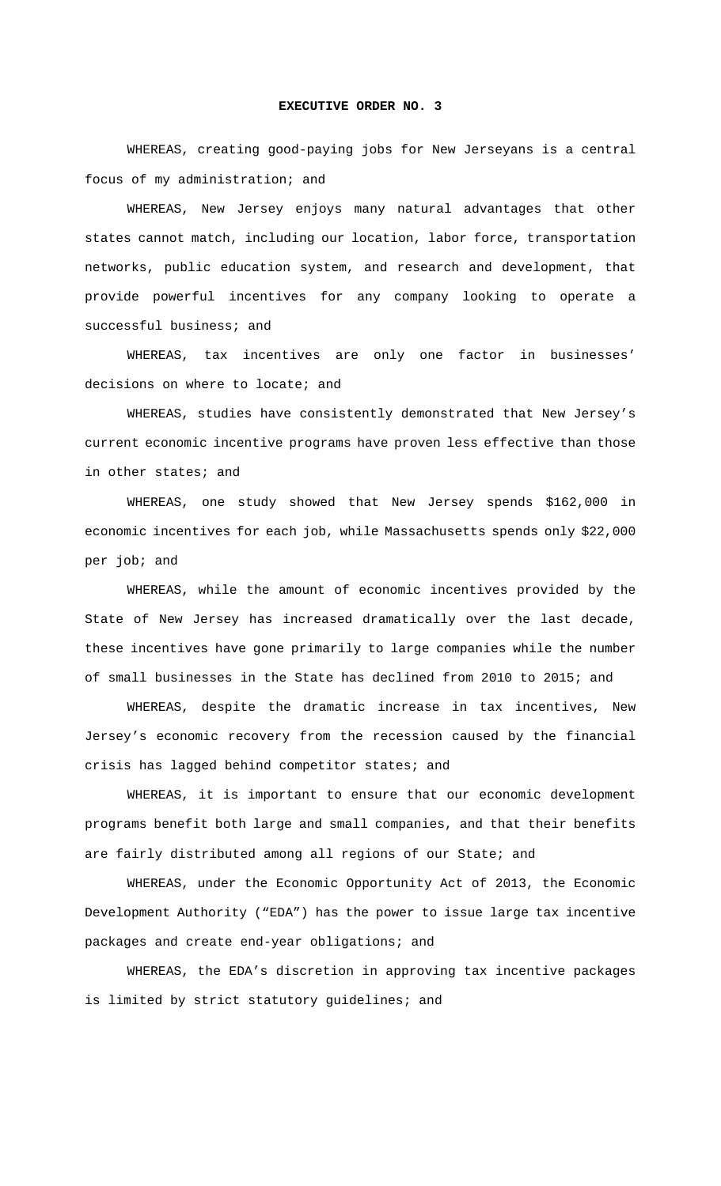## **EXECUTIVE ORDER NO. 3**

 WHEREAS, creating good-paying jobs for New Jerseyans is a central focus of my administration; and

 WHEREAS, New Jersey enjoys many natural advantages that other states cannot match, including our location, labor force, transportation networks, public education system, and research and development, that provide powerful incentives for any company looking to operate a successful business; and

 WHEREAS, tax incentives are only one factor in businesses' decisions on where to locate; and

 WHEREAS, studies have consistently demonstrated that New Jersey's current economic incentive programs have proven less effective than those in other states; and

WHEREAS, one study showed that New Jersey spends \$162,000 in economic incentives for each job, while Massachusetts spends only \$22,000 per job; and

 WHEREAS, while the amount of economic incentives provided by the State of New Jersey has increased dramatically over the last decade, these incentives have gone primarily to large companies while the number of small businesses in the State has declined from 2010 to 2015; and

 WHEREAS, despite the dramatic increase in tax incentives, New Jersey's economic recovery from the recession caused by the financial crisis has lagged behind competitor states; and

 WHEREAS, it is important to ensure that our economic development programs benefit both large and small companies, and that their benefits are fairly distributed among all regions of our State; and

 WHEREAS, under the Economic Opportunity Act of 2013, the Economic Development Authority ("EDA") has the power to issue large tax incentive packages and create end-year obligations; and

 WHEREAS, the EDA's discretion in approving tax incentive packages is limited by strict statutory guidelines; and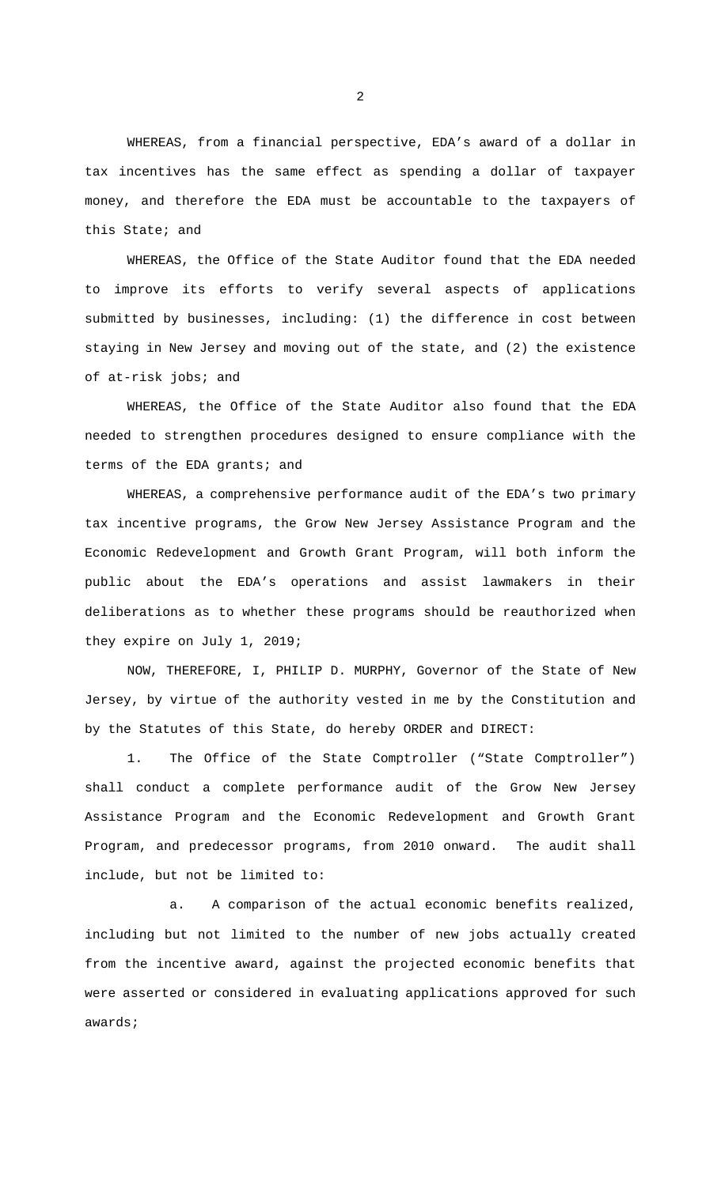WHEREAS, from a financial perspective, EDA's award of a dollar in tax incentives has the same effect as spending a dollar of taxpayer money, and therefore the EDA must be accountable to the taxpayers of this State; and

 WHEREAS, the Office of the State Auditor found that the EDA needed to improve its efforts to verify several aspects of applications submitted by businesses, including: (1) the difference in cost between staying in New Jersey and moving out of the state, and (2) the existence of at-risk jobs; and

 WHEREAS, the Office of the State Auditor also found that the EDA needed to strengthen procedures designed to ensure compliance with the terms of the EDA grants; and

 WHEREAS, a comprehensive performance audit of the EDA's two primary tax incentive programs, the Grow New Jersey Assistance Program and the Economic Redevelopment and Growth Grant Program, will both inform the public about the EDA's operations and assist lawmakers in their deliberations as to whether these programs should be reauthorized when they expire on July 1, 2019;

NOW, THEREFORE, I, PHILIP D. MURPHY, Governor of the State of New Jersey, by virtue of the authority vested in me by the Constitution and by the Statutes of this State, do hereby ORDER and DIRECT:

1. The Office of the State Comptroller ("State Comptroller") shall conduct a complete performance audit of the Grow New Jersey Assistance Program and the Economic Redevelopment and Growth Grant Program, and predecessor programs, from 2010 onward. The audit shall include, but not be limited to:

a. A comparison of the actual economic benefits realized, including but not limited to the number of new jobs actually created from the incentive award, against the projected economic benefits that were asserted or considered in evaluating applications approved for such awards;

2